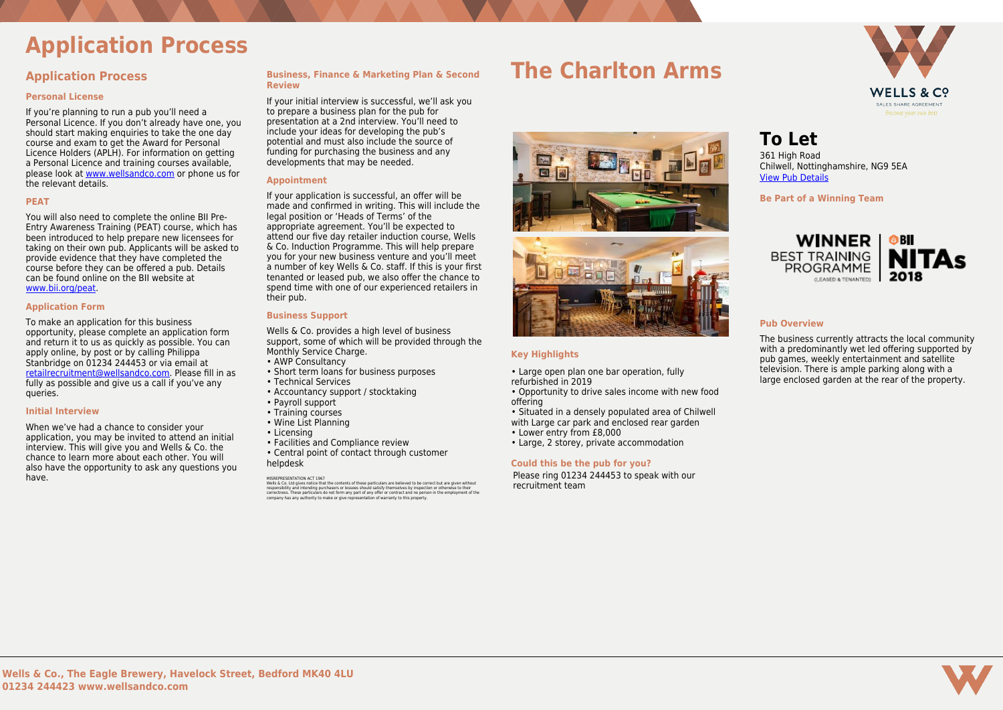

# **Application Process**

### **Application Process**

#### **Personal License**

If you're planning to run a pub you'll need a Personal Licence. If you don't already have one, you should start making enquiries to take the one day course and exam to get the Award for Personal Licence Holders (APLH). For information on getting a Personal Licence and training courses available, please look at [www.wellsandco.com](https://www.wellsandco.com/modules/Property/www.wellsandco.com) or phone us for the relevant details.

#### **PEAT**

You will also need to complete the online BII Pre-Entry Awareness Training (PEAT) course, which has been introduced to help prepare new licensees for taking on their own pub. Applicants will be asked to provide evidence that they have completed the course before they can be offered a pub. Details can be found online on the BII website at [www.bii.org/peat.](https://www.bii.org/peat)

#### **Application Form**

To make an application for this business opportunity, please complete an application form and return it to us as quickly as possible. You can apply online, by post or by calling Philippa Stanbridge on 01234 244453 or via email at [retailrecruitment@wellsandco.com](mailto:retailrecruitment@wellsandco.com). Please fill in as fully as possible and give us a call if you've any queries.

#### **Initial Interview**

Wells & Co. provides a high level of business support, some of which will be provided through the Monthly Service Charge.

When we've had a chance to consider your application, you may be invited to attend an initial interview. This will give you and Wells & Co. the chance to learn more about each other. You will also have the opportunity to ask any questions you have.

#### **Business, Finance & Marketing Plan & Second Review**

MISREPRESENTATION ACT 1967<br>Wells & Co. Ltd gives notice that the contents of these particulars are believed to be correct but are given without<br>responsibility and intending purchasers or lessees should satisfy themselves b correctness. These particulars do not form any part of any offer or contract and no person in the employment of the company has any authority to make or give representation of warranty to this property.

If your initial interview is successful, we'll ask you to prepare a business plan for the pub for presentation at a 2nd interview. You'll need to include your ideas for developing the pub's potential and must also include the source of funding for purchasing the business and any developments that may be needed.

#### **Appointment**

If your application is successful, an offer will be made and confirmed in writing. This will include the legal position or 'Heads of Terms' of the appropriate agreement. You'll be expected to attend our five day retailer induction course, Wells & Co. Induction Programme. This will help prepare you for your new business venture and you'll meet a number of key Wells & Co. staff. If this is your first tenanted or leased pub, we also offer the chance to spend time with one of our experienced retailers in their pub.

#### **Business Support**

- AWP Consultancy
- Short term loans for business purposes
- Technical Services
- Accountancy support / stocktaking
- Payroll support
- Training courses
- Wine List Planning
- Licensing
- Facilities and Compliance review
- Central point of contact through customer helpdesk

### **The Charlton Arms**



#### **Key Highlights**

- Large open plan one bar operation, fully refurbished in 2019
- Opportunity to drive sales income with new food offering
- Situated in a densely populated area of Chilwell with Large car park and enclosed rear garden
- Lower entry from £8,000
- Large, 2 storey, private accommodation

#### **Could this be the pub for you?**

Please ring 01234 244453 to speak with our recruitment team

**To Let**

361 High Road Chilwell, Nottinghamshire, NG9 5EA [View Pub Details](https://www.wellsandco.com/pubs/65/the-charlton-arms)

**Be Part of a Winning Team**



#### **Pub Overview**

The business currently attracts the local community with a predominantly wet led offering supported by pub games, weekly entertainment and satellite television. There is ample parking along with a large enclosed garden at the rear of the property.